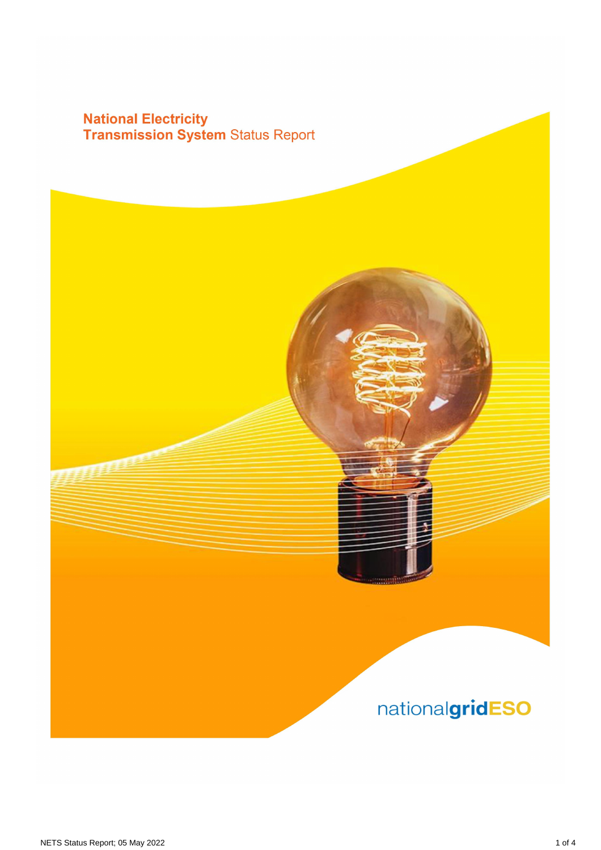# **National Electricity<br>Transmission System Status Report**

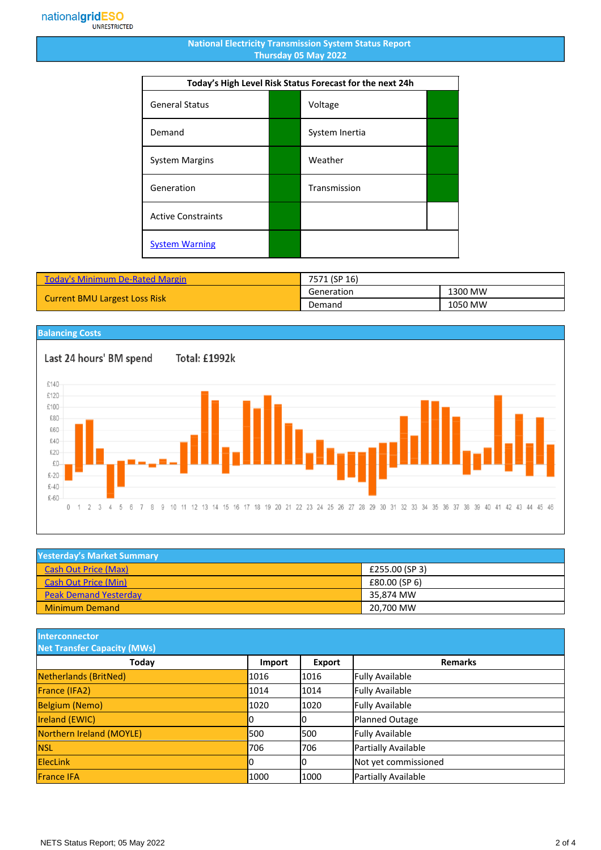#### **National Electricity Transmission System Status Report Thursday 05 May 2022**

| Today's High Level Risk Status Forecast for the next 24h |  |                |  |
|----------------------------------------------------------|--|----------------|--|
| <b>General Status</b>                                    |  | Voltage        |  |
| Demand                                                   |  | System Inertia |  |
| <b>System Margins</b>                                    |  | Weather        |  |
| Generation                                               |  | Transmission   |  |
| <b>Active Constraints</b>                                |  |                |  |
| <b>System Warning</b>                                    |  |                |  |

| <b>Today's Minimum De-Rated Margin</b> | 7571 (SP 16) |         |
|----------------------------------------|--------------|---------|
| <b>Current BMU Largest Loss Risk</b>   | Generation   | 1300 MW |
|                                        | Demand       | 1050 MW |

### **Balancing Costs**

Last 24 hours' BM spend Total: £1992k £140 £120 £100 £80 £60 £40 £20  $E(1)$  $£-20$  $£-40$  $£-60$ 0 1 2 3 4 5 6 7 8 9 10 11 12 13 14 15 16 17 18 19 20 21 22 23 24 25 26 27 28 29 30 31 32 33 34 35 36 37 38 39 40 41 42 43 44 45 46

| <b>Yesterday's Market Summary</b> |                |  |
|-----------------------------------|----------------|--|
| <b>Cash Out Price (Max)</b>       | £255.00 (SP 3) |  |
| <b>Cash Out Price (Min)</b>       | £80.00 (SP 6)  |  |
| <b>Peak Demand Yesterday</b>      | 35.874 MW      |  |
| <b>Minimum Demand</b>             | 20,700 MW      |  |

**Interconnector**

| <b>Net Transfer Capacity (MWs)</b> |        |        |                        |
|------------------------------------|--------|--------|------------------------|
| Today                              | Import | Export | <b>Remarks</b>         |
| Netherlands (BritNed)              | 1016   | 1016   | <b>Fully Available</b> |
| France (IFA2)                      | 1014   | 1014   | <b>Fully Available</b> |
| <b>Belgium (Nemo)</b>              | 1020   | 1020   | <b>Fully Available</b> |
| <b>Ireland (EWIC)</b>              |        | 10     | Planned Outage         |
| Northern Ireland (MOYLE)           | 500    | 1500   | <b>Fully Available</b> |
| <b>NSL</b>                         | 706    | 706    | Partially Available    |
| <b>ElecLink</b>                    | 10     | IО     | Not yet commissioned   |
| <b>France IFA</b>                  | 1000   | 1000   | Partially Available    |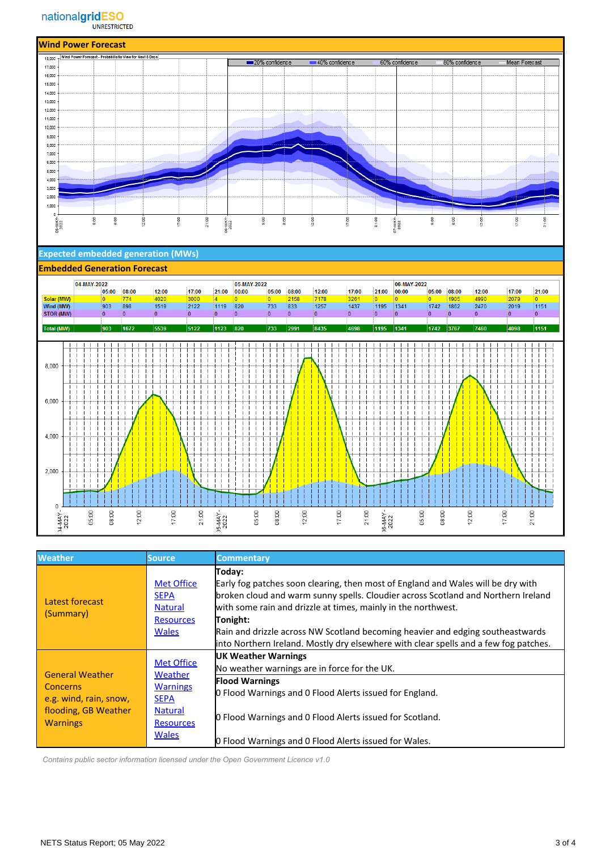

#### **Expected embedded generation (MWs)**

#### **Embedded Generation Forecast**



| <b>Weather</b>                                                                                          | Source.                                                                                                              | <b>Commentary</b>                                                                                                                                                                                                                                                                                                                                                                                                                      |
|---------------------------------------------------------------------------------------------------------|----------------------------------------------------------------------------------------------------------------------|----------------------------------------------------------------------------------------------------------------------------------------------------------------------------------------------------------------------------------------------------------------------------------------------------------------------------------------------------------------------------------------------------------------------------------------|
| Latest forecast<br>(Summary)                                                                            | <b>Met Office</b><br><b>SEPA</b><br><b>Natural</b><br><b>Resources</b><br><b>Wales</b>                               | Today:<br>Early fog patches soon clearing, then most of England and Wales will be dry with<br>broken cloud and warm sunny spells. Cloudier across Scotland and Northern Ireland<br>with some rain and drizzle at times, mainly in the northwest.<br>Tonight:<br>Rain and drizzle across NW Scotland becoming heavier and edging southeastwards<br>into Northern Ireland. Mostly dry elsewhere with clear spells and a few fog patches. |
| <b>General Weather</b><br>Concerns<br>e.g. wind, rain, snow,<br>flooding, GB Weather<br><b>Warnings</b> | <b>Met Office</b><br>Weather<br><b>Warnings</b><br><b>SEPA</b><br><b>Natural</b><br><b>Resources</b><br><b>Wales</b> | <b>UK Weather Warnings</b><br>No weather warnings are in force for the UK.<br><b>Flood Warnings</b><br>O Flood Warnings and O Flood Alerts issued for England.<br><b>O</b> Flood Warnings and O Flood Alerts issued for Scotland.<br>O Flood Warnings and O Flood Alerts issued for Wales.                                                                                                                                             |

 *Contains public sector information licensed under the Open Government Licence v1.0*